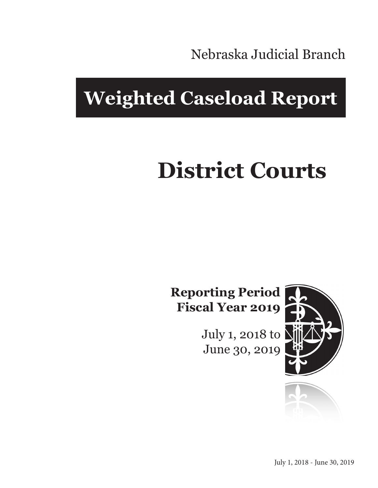Nebraska Judicial Branch

## **Weighted Caseload Report**

# **District Courts**

**Reporting Period Fiscal Year 2019**

> July 1, 2018 to June 30, 2019



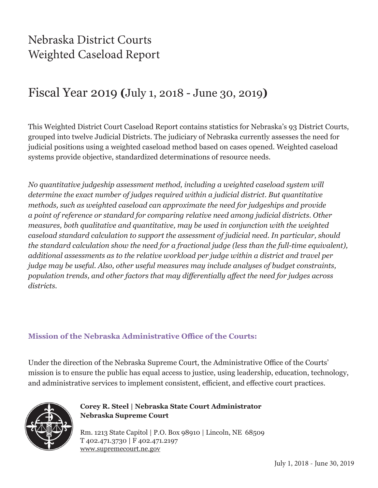## Nebraska District Courts Weighted Caseload Report

## Fiscal Year 2019 **(**July 1, 2018 - June 30, 2019**)**

This Weighted District Court Caseload Report contains statistics for Nebraska's 93 District Courts, grouped into twelve Judicial Districts. The judiciary of Nebraska currently assesses the need for judicial positions using a weighted caseload method based on cases opened. Weighted caseload systems provide objective, standardized determinations of resource needs.

*No quantitative judgeship assessment method, including a weighted caseload system will determine the exact number of judges required within a judicial district. But quantitative methods, such as weighted caseload can approximate the need for judgeships and provide a point of reference or standard for comparing relative need among judicial districts. Other measures, both qualitative and quantitative, may be used in conjunction with the weighted caseload standard calculation to support the assessment of judicial need. In particular, should the standard calculation show the need for a fractional judge (less than the full-time equivalent), additional assessments as to the relative workload per judge within a district and travel per judge may be useful. Also, other useful measures may include analyses of budget constraints, population trends, and other factors that may differentially affect the need for judges across districts.*

#### **Mission of the Nebraska Administrative Office of the Courts:**

Under the direction of the Nebraska Supreme Court, the Administrative Office of the Courts' mission is to ensure the public has equal access to justice, using leadership, education, technology, and administrative services to implement consistent, efficient, and effective court practices.



#### **Corey R. Steel | Nebraska State Court Administrator Nebraska Supreme Court**

Rm. 1213 State Capitol | P.O. Box 98910 | Lincoln, NE 68509 T 402.471.3730 | F 402.471.2197 www.supremecourt.ne.gov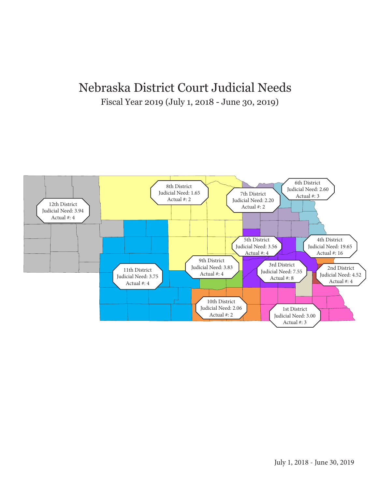#### Nebraska District Court Judicial Needs Fiscal Year 2019 (July 1, 2018 - June 30, 2019)

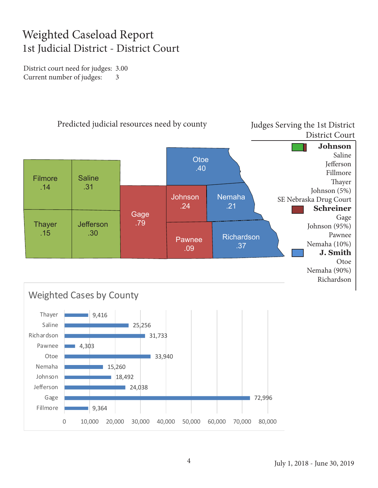### Weighted Caseload Report 1st Judicial District - District Court

District court need for judges: 3.00 Current number of judges: 3

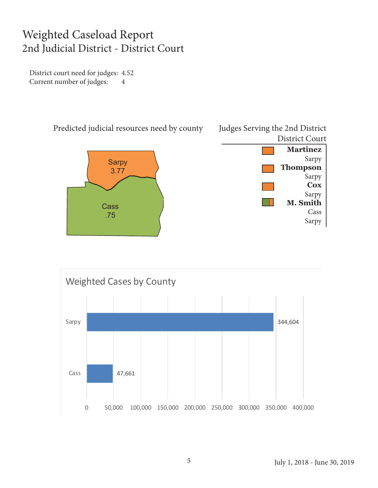#### Weighted Caseload Report 2nd Judicial District - District Court

District court need for judges: 4.52 Current number of judges: 4



Predicted judicial resources need by county





#### Judges Serving the 2nd District District Court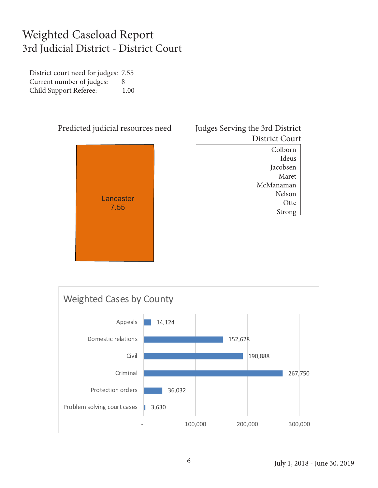#### Weighted Caseload Report 3rd Judicial District - District Court

District court need for judges: 7.55 Current number of judges: 8 Child Support Referee: 1.00



| Judges Serving the 3rd District |
|---------------------------------|
| <b>District Court</b>           |

Colborn Ideus Jacobsen Maret McManaman Nelson **Otte** Strong

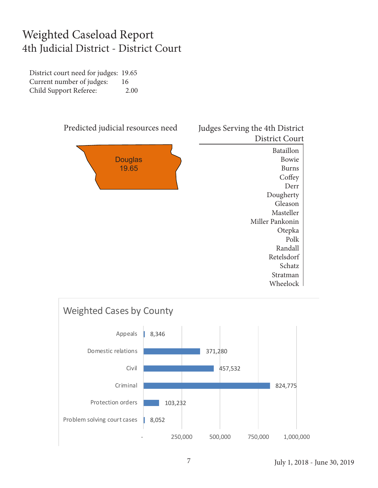#### Weighted Caseload Report 4th Judicial District - District Court

District court need for judges: 19.65 Current number of judges: 16 Child Support Referee: 2.00





Derr Dougherty Gleason Masteller Miller Pankonin Otepka Polk Randall Retelsdorf Schatz Stratman Wheelock

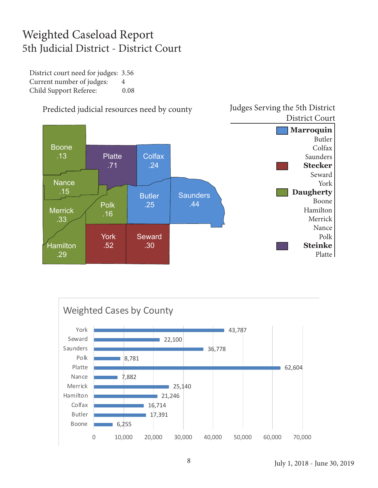### Weighted Caseload Report 5th Judicial District - District Court

District court need for judges: 3.56 Current number of judges: 4 Child Support Referee: 0.08





Predicted judicial resources need by county

Judges Serving the 5th District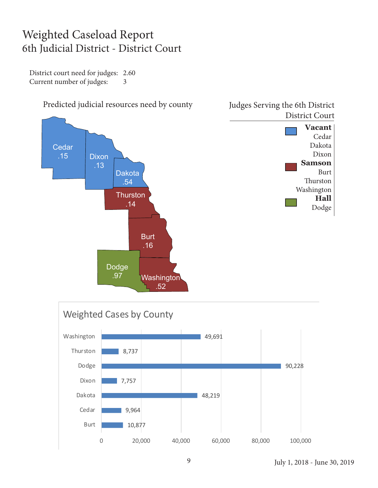#### Weighted Caseload Report 6th Judicial District - District Court

District court need for judges: 2.60 Current number of judges: 3





July 1, 2018 - June 30, 2019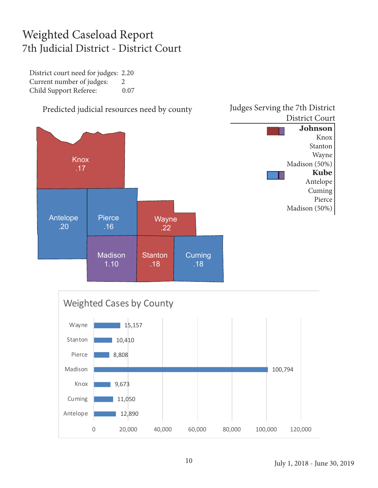### Weighted Caseload Report 7th Judicial District - District Court

District court need for judges: 2.20 Current number of judges: 2 Child Support Referee: 0.07

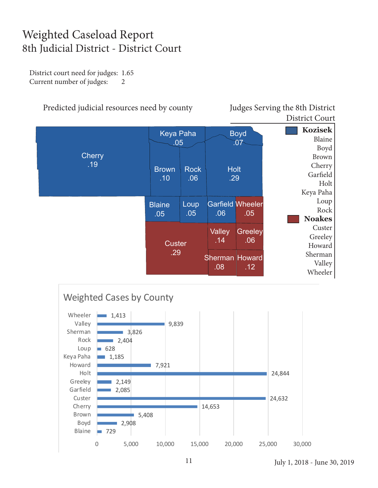### Weighted Caseload Report 8th Judicial District - District Court

District court need for judges: 1.65 Current number of judges: 2

#### Predicted judicial resources need by county Judges Serving the 8th District

District Court

|                      | <b>Keya Paha</b><br>.05 |                    | <b>Boyd</b><br>707             |                       | <b>Kozisek</b><br>Blaine<br>Boyd                        |
|----------------------|-------------------------|--------------------|--------------------------------|-----------------------|---------------------------------------------------------|
| <b>Cherry</b><br>.19 | <b>Brown</b><br>.10     | <b>Rock</b><br>.06 | <b>Holt</b><br>.29             |                       | <b>Brown</b><br>Cherry<br>Garfield<br>Holt<br>Keya Paha |
|                      | <b>Blaine</b><br>.05    | Loup<br>.05        | <b>Garfield Wheeler</b><br>.06 | .05                   | Loup<br>Rock<br><b>Noakes</b>                           |
|                      | <b>Custer</b><br>.29    |                    | Valley<br>.14                  | <b>Greeley</b><br>.06 | Custer<br>Greeley<br>Howard                             |
|                      |                         |                    | <b>Sherman Howard</b><br>.08   | .12                   | Sherman<br>Valley<br>Wheeler                            |

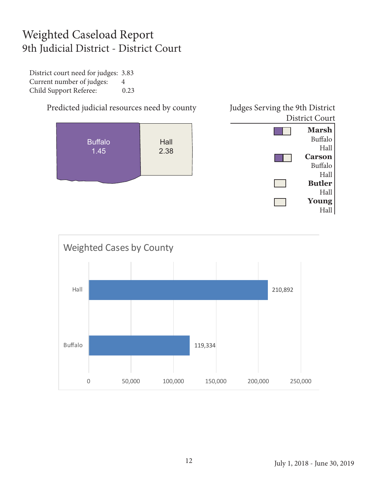### Weighted Caseload Report 9th Judicial District - District Court

District court need for judges: 3.83 Current number of judges: 4 Child Support Referee: 0.23

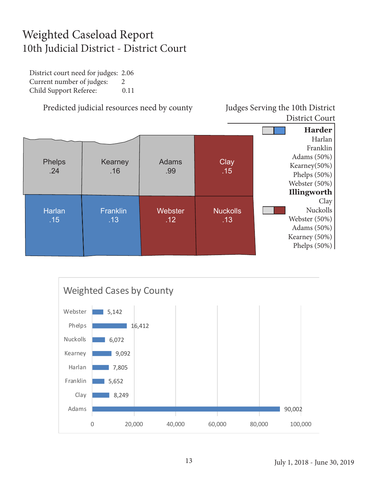### Weighted Caseload Report 10th Judicial District - District Court

District court need for judges: 2.06 Current number of judges: 2 Child Support Referee: 0.11

Predicted judicial resources need by county Judges Serving the 10th District

## District Court



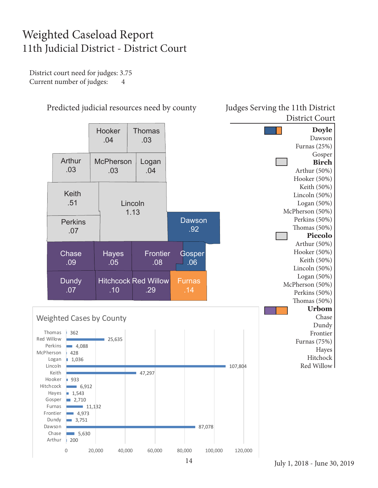### Weighted Caseload Report 11th Judicial District - District Court

District court need for judges: 3.75 Current number of judges: 4



14

Predicted judicial resources need by county Judges Serving the 11th District District Court